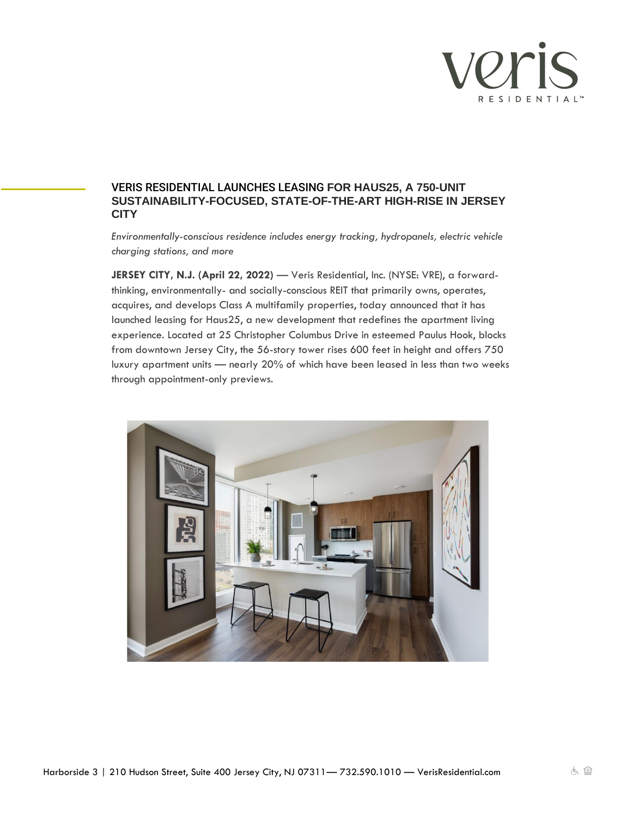

## VERIS RESIDENTIAL LAUNCHES LEASING **FOR HAUS25, A 750-UNIT SUSTAINABILITY-FOCUSED, STATE-OF-THE-ART HIGH-RISE IN JERSEY CITY**

*Environmentally-conscious residence includes energy tracking, hydropanels, electric vehicle charging stations, and more* 

**JERSEY CITY, N.J. (April 22, 2022)** — Veris Residential, Inc. (NYSE: VRE), a forwardthinking, environmentally- and socially-conscious REIT that primarily owns, operates, acquires, and develops Class A multifamily properties, today announced that it has launched leasing for Haus25, a new development that redefines the apartment living experience. Located at 25 Christopher Columbus Drive in esteemed Paulus Hook, blocks from downtown Jersey City, the 56-story tower rises 600 feet in height and offers 750 luxury apartment units — nearly 20% of which have been leased in less than two weeks through appointment-only previews.

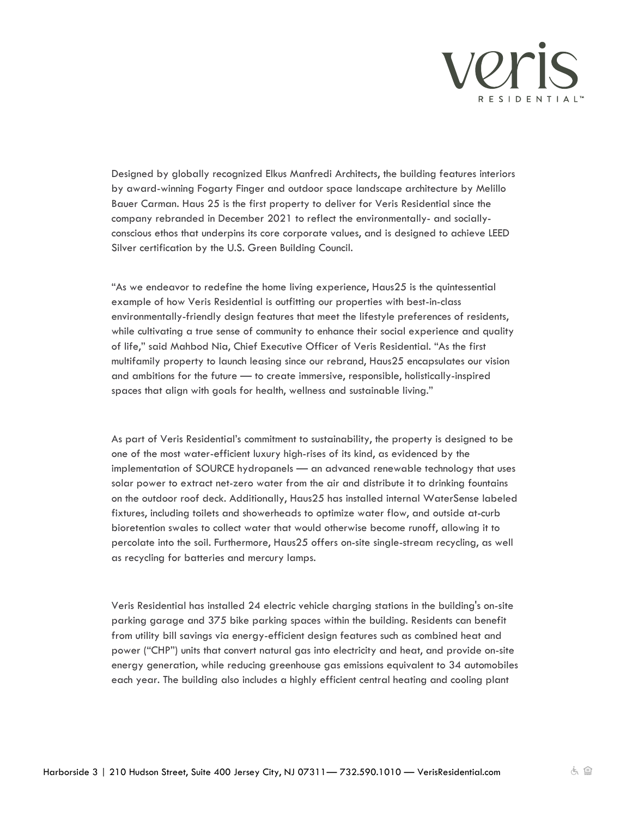

Designed by globally recognized Elkus Manfredi Architects, the building features interiors by award-winning Fogarty Finger and outdoor space landscape architecture by Melillo Bauer Carman. Haus 25 is the first property to deliver for Veris Residential since the company rebranded in December 2021 to reflect the environmentally- and sociallyconscious ethos that underpins its core corporate values, and is designed to achieve LEED Silver certification by the U.S. Green Building Council.

"As we endeavor to redefine the home living experience, Haus25 is the quintessential example of how Veris Residential is outfitting our properties with best-in-class environmentally-friendly design features that meet the lifestyle preferences of residents, while cultivating a true sense of community to enhance their social experience and quality of life," said Mahbod Nia, Chief Executive Officer of Veris Residential. "As the first multifamily property to launch leasing since our rebrand, Haus25 encapsulates our vision and ambitions for the future — to create immersive, responsible, holistically-inspired spaces that align with goals for health, wellness and sustainable living."

As part of Veris Residential's commitment to sustainability, the property is designed to be one of the most water-efficient luxury high-rises of its kind, as evidenced by the implementation of SOURCE hydropanels — an advanced renewable technology that uses solar power to extract net-zero water from the air and distribute it to drinking fountains on the outdoor roof deck. Additionally, Haus25 has installed internal WaterSense labeled fixtures, including toilets and showerheads to optimize water flow, and outside at-curb bioretention swales to collect water that would otherwise become runoff, allowing it to percolate into the soil. Furthermore, Haus25 offers on-site single-stream recycling, as well as recycling for batteries and mercury lamps.

Veris Residential has installed 24 electric vehicle charging stations in the building's on-site parking garage and 375 bike parking spaces within the building. Residents can benefit from utility bill savings via energy-efficient design features such as combined heat and power ("CHP") units that convert natural gas into electricity and heat, and provide on-site energy generation, while reducing greenhouse gas emissions equivalent to 34 automobiles each year. The building also includes a highly efficient central heating and cooling plant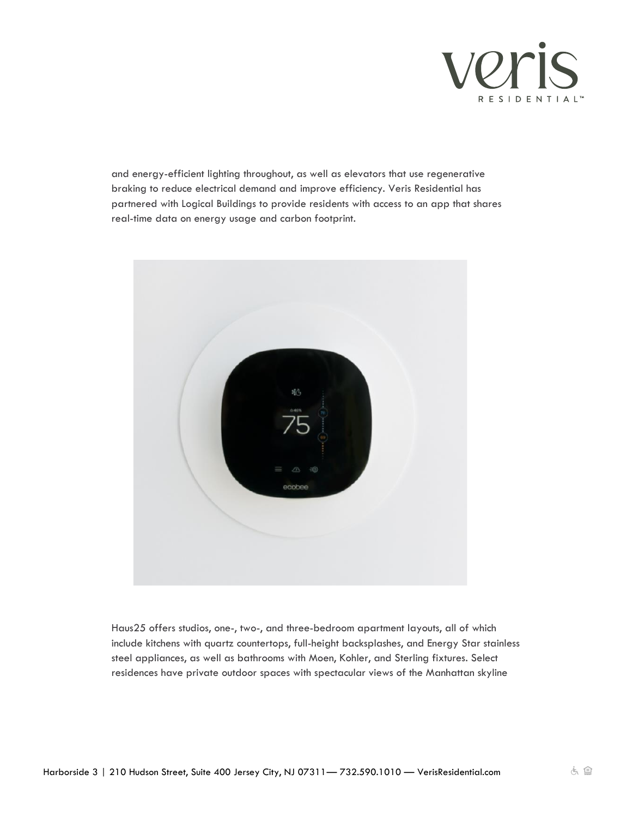

and energy-efficient lighting throughout, as well as elevators that use regenerative braking to reduce electrical demand and improve efficiency. Veris Residential has partnered with Logical Buildings to provide residents with access to an app that shares real-time data on energy usage and carbon footprint.



Haus25 offers studios, one-, two-, and three-bedroom apartment layouts, all of which include kitchens with quartz countertops, full-height backsplashes, and Energy Star stainless steel appliances, as well as bathrooms with Moen, Kohler, and Sterling fixtures. Select residences have private outdoor spaces with spectacular views of the Manhattan skyline